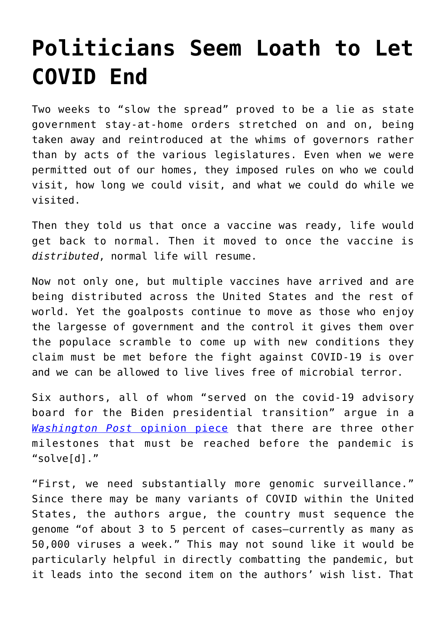## **[Politicians Seem Loath to Let](https://intellectualtakeout.org/2021/02/politicians-seem-loath-to-let-covid-end/) [COVID End](https://intellectualtakeout.org/2021/02/politicians-seem-loath-to-let-covid-end/)**

Two weeks to "slow the spread" proved to be a lie as state government stay-at-home orders stretched on and on, being taken away and reintroduced at the whims of governors rather than by acts of the various legislatures. Even when we were permitted out of our homes, they imposed rules on who we could visit, how long we could visit, and what we could do while we visited.

Then they told us that once a vaccine was ready, life would get back to normal. Then it moved to once the vaccine is *distributed*, normal life will resume.

Now not only one, but multiple vaccines have arrived and are being distributed across the United States and the rest of world. Yet the goalposts continue to move as those who enjoy the largesse of government and the control it gives them over the populace scramble to come up with new conditions they claim must be met before the fight against COVID-19 is over and we can be allowed to live lives free of microbial terror.

Six authors, all of whom "served on the covid-19 advisory board for the Biden presidential transition" argue in a *[Washington Post](https://www.washingtonpost.com/opinions/2021/02/05/vaccines-alone-wont-solve-pandemic-here-are-3-other-things-we-must-do/)* [opinion piece](https://www.washingtonpost.com/opinions/2021/02/05/vaccines-alone-wont-solve-pandemic-here-are-3-other-things-we-must-do/) that there are three other milestones that must be reached before the pandemic is "solve[d]."

"First, we need substantially more genomic surveillance." Since there may be many variants of COVID within the United States, the authors argue, the country must sequence the genome "of about 3 to 5 percent of cases—currently as many as 50,000 viruses a week." This may not sound like it would be particularly helpful in directly combatting the pandemic, but it leads into the second item on the authors' wish list. That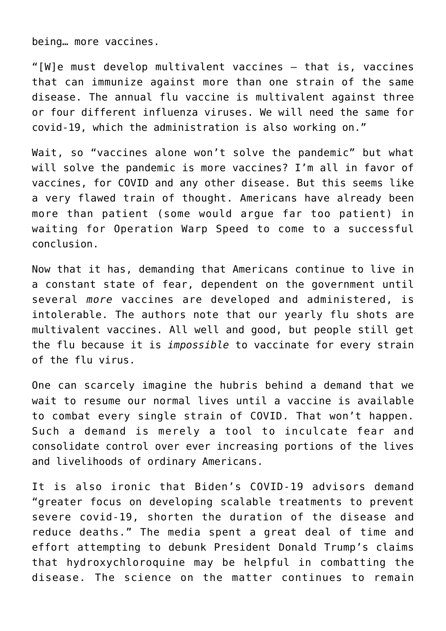being… more vaccines.

"[W]e must develop multivalent vaccines — that is, vaccines that can immunize against more than one strain of the same disease. The annual flu vaccine is multivalent against three or four different influenza viruses. We will need the same for covid-19, which the administration is also working on."

Wait, so "vaccines alone won't solve the pandemic" but what will solve the pandemic is more vaccines? I'm all in favor of vaccines, for COVID and any other disease. But this seems like a very flawed train of thought. Americans have already been more than patient (some would argue far too patient) in waiting for Operation Warp Speed to come to a successful conclusion.

Now that it has, demanding that Americans continue to live in a constant state of fear, dependent on the government until several *more* vaccines are developed and administered, is intolerable. The authors note that our yearly flu shots are multivalent vaccines. All well and good, but people still get the flu because it is *impossible* to vaccinate for every strain of the flu virus.

One can scarcely imagine the hubris behind a demand that we wait to resume our normal lives until a vaccine is available to combat every single strain of COVID. That won't happen. Such a demand is merely a tool to inculcate fear and consolidate control over ever increasing portions of the lives and livelihoods of ordinary Americans.

It is also ironic that Biden's COVID-19 advisors demand "greater focus on developing scalable treatments to prevent severe covid-19, shorten the duration of the disease and reduce deaths." The media spent a great deal of time and effort attempting to debunk President Donald Trump's claims that hydroxychloroquine may be helpful in combatting the disease. The science on the matter continues to remain